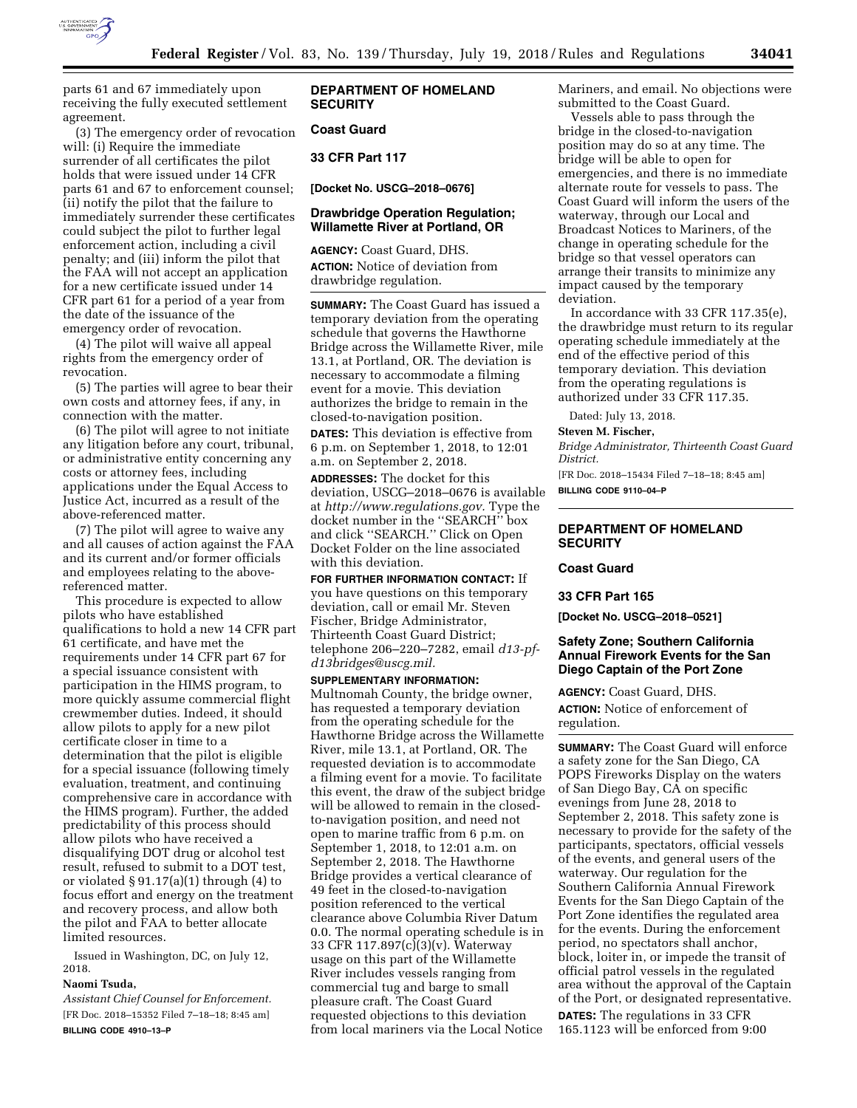

parts 61 and 67 immediately upon receiving the fully executed settlement agreement.

(3) The emergency order of revocation will: (i) Require the immediate surrender of all certificates the pilot holds that were issued under 14 CFR parts 61 and 67 to enforcement counsel; (ii) notify the pilot that the failure to immediately surrender these certificates could subject the pilot to further legal enforcement action, including a civil penalty; and (iii) inform the pilot that the FAA will not accept an application for a new certificate issued under 14 CFR part 61 for a period of a year from the date of the issuance of the emergency order of revocation.

(4) The pilot will waive all appeal rights from the emergency order of revocation.

(5) The parties will agree to bear their own costs and attorney fees, if any, in connection with the matter.

(6) The pilot will agree to not initiate any litigation before any court, tribunal, or administrative entity concerning any costs or attorney fees, including applications under the Equal Access to Justice Act, incurred as a result of the above-referenced matter.

(7) The pilot will agree to waive any and all causes of action against the FAA and its current and/or former officials and employees relating to the abovereferenced matter.

This procedure is expected to allow pilots who have established qualifications to hold a new 14 CFR part 61 certificate, and have met the requirements under 14 CFR part 67 for a special issuance consistent with participation in the HIMS program, to more quickly assume commercial flight crewmember duties. Indeed, it should allow pilots to apply for a new pilot certificate closer in time to a determination that the pilot is eligible for a special issuance (following timely evaluation, treatment, and continuing comprehensive care in accordance with the HIMS program). Further, the added predictability of this process should allow pilots who have received a disqualifying DOT drug or alcohol test result, refused to submit to a DOT test, or violated § 91.17(a)(1) through (4) to focus effort and energy on the treatment and recovery process, and allow both the pilot and FAA to better allocate limited resources.

Issued in Washington, DC, on July 12, 2018.

## **Naomi Tsuda,**

*Assistant Chief Counsel for Enforcement.*  [FR Doc. 2018–15352 Filed 7–18–18; 8:45 am] **BILLING CODE 4910–13–P** 

## **DEPARTMENT OF HOMELAND SECURITY**

## **Coast Guard**

**33 CFR Part 117** 

**[Docket No. USCG–2018–0676]** 

## **Drawbridge Operation Regulation; Willamette River at Portland, OR**

**AGENCY:** Coast Guard, DHS. **ACTION:** Notice of deviation from drawbridge regulation.

**SUMMARY:** The Coast Guard has issued a temporary deviation from the operating schedule that governs the Hawthorne Bridge across the Willamette River, mile 13.1, at Portland, OR. The deviation is necessary to accommodate a filming event for a movie. This deviation authorizes the bridge to remain in the closed-to-navigation position.

**DATES:** This deviation is effective from 6 p.m. on September 1, 2018, to 12:01 a.m. on September 2, 2018.

**ADDRESSES:** The docket for this deviation, USCG–2018–0676 is available at *[http://www.regulations.gov.](http://www.regulations.gov)* Type the docket number in the ''SEARCH'' box and click ''SEARCH.'' Click on Open Docket Folder on the line associated with this deviation.

**FOR FURTHER INFORMATION CONTACT:** If you have questions on this temporary deviation, call or email Mr. Steven Fischer, Bridge Administrator, Thirteenth Coast Guard District; telephone 206–220–7282, email *[d13-pf](mailto:d13-pf-d13bridges@uscg.mil)[d13bridges@uscg.mil.](mailto:d13-pf-d13bridges@uscg.mil)* 

**SUPPLEMENTARY INFORMATION:** 

Multnomah County, the bridge owner, has requested a temporary deviation from the operating schedule for the Hawthorne Bridge across the Willamette River, mile 13.1, at Portland, OR. The requested deviation is to accommodate a filming event for a movie. To facilitate this event, the draw of the subject bridge will be allowed to remain in the closedto-navigation position, and need not open to marine traffic from 6 p.m. on September 1, 2018, to 12:01 a.m. on September 2, 2018. The Hawthorne Bridge provides a vertical clearance of 49 feet in the closed-to-navigation position referenced to the vertical clearance above Columbia River Datum 0.0. The normal operating schedule is in 33 CFR 117.897(c)(3)(v). Waterway usage on this part of the Willamette River includes vessels ranging from commercial tug and barge to small pleasure craft. The Coast Guard requested objections to this deviation from local mariners via the Local Notice

Mariners, and email. No objections were submitted to the Coast Guard.

Vessels able to pass through the bridge in the closed-to-navigation position may do so at any time. The bridge will be able to open for emergencies, and there is no immediate alternate route for vessels to pass. The Coast Guard will inform the users of the waterway, through our Local and Broadcast Notices to Mariners, of the change in operating schedule for the bridge so that vessel operators can arrange their transits to minimize any impact caused by the temporary deviation.

In accordance with 33 CFR 117.35(e), the drawbridge must return to its regular operating schedule immediately at the end of the effective period of this temporary deviation. This deviation from the operating regulations is authorized under 33 CFR 117.35.

Dated: July 13, 2018.

## **Steven M. Fischer,**

*Bridge Administrator, Thirteenth Coast Guard District.* 

[FR Doc. 2018–15434 Filed 7–18–18; 8:45 am] **BILLING CODE 9110–04–P** 

## **DEPARTMENT OF HOMELAND SECURITY**

# **Coast Guard**

**33 CFR Part 165** 

**[Docket No. USCG–2018–0521]** 

## **Safety Zone; Southern California Annual Firework Events for the San Diego Captain of the Port Zone**

**AGENCY:** Coast Guard, DHS.

**ACTION:** Notice of enforcement of regulation.

**SUMMARY:** The Coast Guard will enforce a safety zone for the San Diego, CA POPS Fireworks Display on the waters of San Diego Bay, CA on specific evenings from June 28, 2018 to September 2, 2018. This safety zone is necessary to provide for the safety of the participants, spectators, official vessels of the events, and general users of the waterway. Our regulation for the Southern California Annual Firework Events for the San Diego Captain of the Port Zone identifies the regulated area for the events. During the enforcement period, no spectators shall anchor, block, loiter in, or impede the transit of official patrol vessels in the regulated area without the approval of the Captain of the Port, or designated representative.

**DATES:** The regulations in 33 CFR 165.1123 will be enforced from 9:00